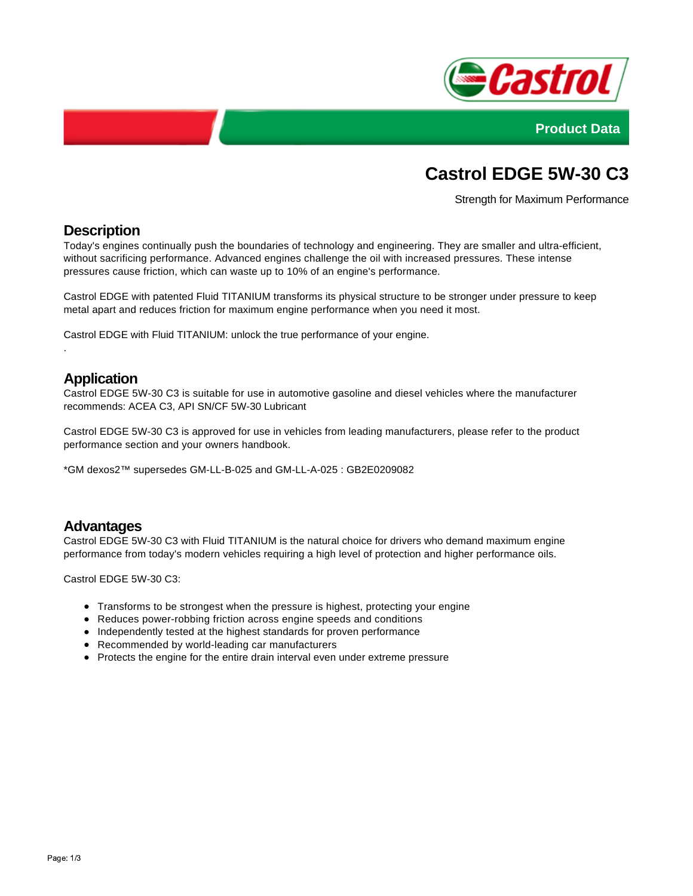



# **Castrol EDGE 5W-30 C3**

Strength for Maximum Performance

## **Description**

Today's engines continually push the boundaries of technology and engineering. They are smaller and ultra-efficient, without sacrificing performance. Advanced engines challenge the oil with increased pressures. These intense pressures cause friction, which can waste up to 10% of an engine's performance.

Castrol EDGE with patented Fluid TITANIUM transforms its physical structure to be stronger under pressure to keep metal apart and reduces friction for maximum engine performance when you need it most.

Castrol EDGE with Fluid TITANIUM: unlock the true performance of your engine.

## **Application**

.

Castrol EDGE 5W-30 C3 is suitable for use in automotive gasoline and diesel vehicles where the manufacturer recommends: ACEA C3, API SN/CF 5W-30 Lubricant

Castrol EDGE 5W-30 C3 is approved for use in vehicles from leading manufacturers, please refer to the product performance section and your owners handbook.

\*GM dexos2™ supersedes GM-LL-B-025 and GM-LL-A-025 : GB2E0209082

### **Advantages**

Castrol EDGE 5W-30 C3 with Fluid TITANIUM is the natural choice for drivers who demand maximum engine performance from today's modern vehicles requiring a high level of protection and higher performance oils.

Castrol EDGE 5W-30 C3:

- Transforms to be strongest when the pressure is highest, protecting your engine
- Reduces power-robbing friction across engine speeds and conditions
- Independently tested at the highest standards for proven performance
- Recommended by world-leading car manufacturers
- Protects the engine for the entire drain interval even under extreme pressure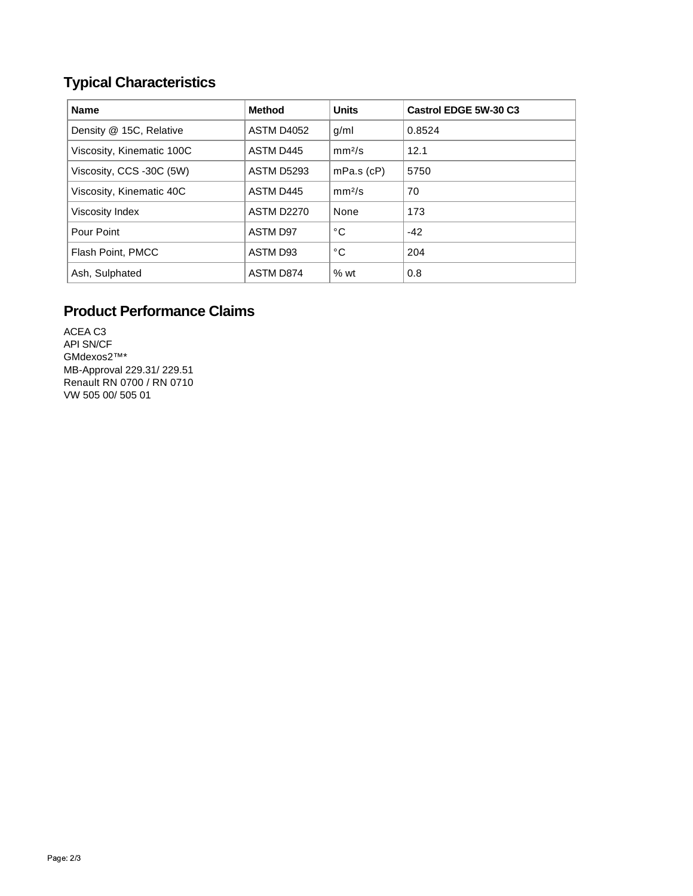## **Typical Characteristics**

| <b>Name</b>               | Method            | <b>Units</b>       | Castrol EDGE 5W-30 C3 |
|---------------------------|-------------------|--------------------|-----------------------|
| Density @ 15C, Relative   | ASTM D4052        | g/ml               | 0.8524                |
| Viscosity, Kinematic 100C | ASTM D445         | mm <sup>2</sup> /s | 12.1                  |
| Viscosity, CCS -30C (5W)  | <b>ASTM D5293</b> | $mPa.s$ (cP)       | 5750                  |
| Viscosity, Kinematic 40C  | ASTM D445         | mm <sup>2</sup> /s | 70                    |
| <b>Viscosity Index</b>    | <b>ASTM D2270</b> | None               | 173                   |
| Pour Point                | <b>ASTM D97</b>   | °С                 | $-42$                 |
| Flash Point, PMCC         | ASTM D93          | °C                 | 204                   |
| Ash, Sulphated            | ASTM D874         | $%$ wt             | 0.8                   |

## **Product Performance Claims**

ACEA C3 API SN/CF GMdexos2™\* MB-Approval 229.31/ 229.51 Renault RN 0700 / RN 0710 VW 505 00/ 505 01